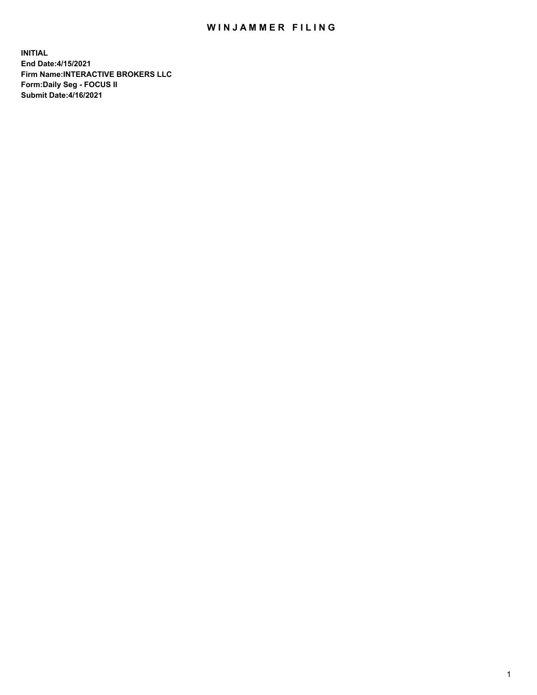## WIN JAMMER FILING

**INITIAL End Date:4/15/2021 Firm Name:INTERACTIVE BROKERS LLC Form:Daily Seg - FOCUS II Submit Date:4/16/2021**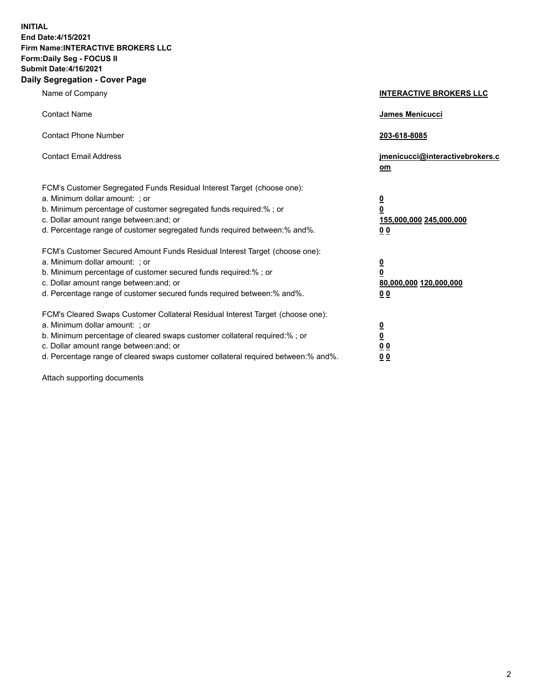**INITIAL End Date:4/15/2021 Firm Name:INTERACTIVE BROKERS LLC Form:Daily Seg - FOCUS II Submit Date:4/16/2021 Daily Segregation - Cover Page**

| Name of Company                                                                                                                                                                                                                                                                                                               | <b>INTERACTIVE BROKERS LLC</b>                                                            |
|-------------------------------------------------------------------------------------------------------------------------------------------------------------------------------------------------------------------------------------------------------------------------------------------------------------------------------|-------------------------------------------------------------------------------------------|
| <b>Contact Name</b>                                                                                                                                                                                                                                                                                                           | James Menicucci                                                                           |
| <b>Contact Phone Number</b>                                                                                                                                                                                                                                                                                                   | 203-618-8085                                                                              |
| <b>Contact Email Address</b>                                                                                                                                                                                                                                                                                                  | jmenicucci@interactivebrokers.c<br>$om$                                                   |
| FCM's Customer Segregated Funds Residual Interest Target (choose one):<br>a. Minimum dollar amount: ; or<br>b. Minimum percentage of customer segregated funds required:% ; or<br>c. Dollar amount range between: and; or<br>d. Percentage range of customer segregated funds required between: % and %.                      | $\overline{\mathbf{0}}$<br>0<br>155,000,000 245,000,000<br>0 <sub>0</sub>                 |
| FCM's Customer Secured Amount Funds Residual Interest Target (choose one):<br>a. Minimum dollar amount: ; or<br>b. Minimum percentage of customer secured funds required:%; or<br>c. Dollar amount range between: and; or<br>d. Percentage range of customer secured funds required between:% and%.                           | <u>0</u><br>$\overline{\mathbf{0}}$<br>80,000,000 120,000,000<br>00                       |
| FCM's Cleared Swaps Customer Collateral Residual Interest Target (choose one):<br>a. Minimum dollar amount: ; or<br>b. Minimum percentage of cleared swaps customer collateral required:%; or<br>c. Dollar amount range between: and; or<br>d. Percentage range of cleared swaps customer collateral required between:% and%. | <u>0</u><br>$\underline{\mathbf{0}}$<br>$\underline{0}$ $\underline{0}$<br>0 <sub>0</sub> |

Attach supporting documents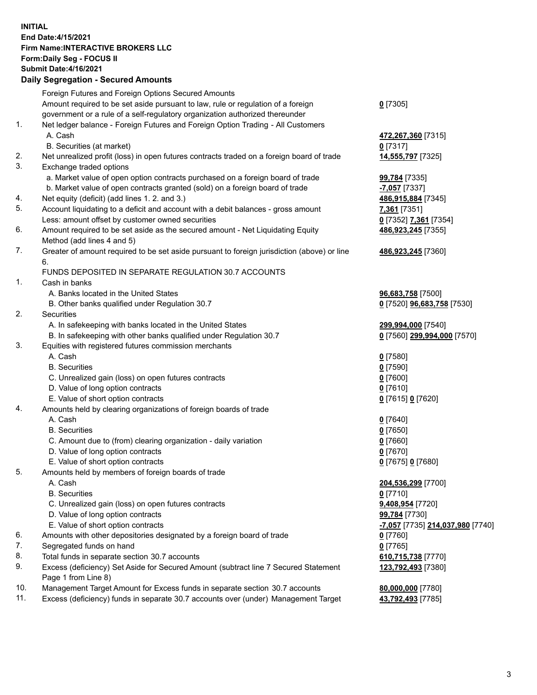## **INITIAL End Date:4/15/2021 Firm Name:INTERACTIVE BROKERS LLC Form:Daily Seg - FOCUS II Submit Date:4/16/2021 Daily Segregation - Secured Amounts**

|     | Daily Segregation - Secured Amounts                                                         |                                         |
|-----|---------------------------------------------------------------------------------------------|-----------------------------------------|
|     | Foreign Futures and Foreign Options Secured Amounts                                         |                                         |
|     | Amount required to be set aside pursuant to law, rule or regulation of a foreign            | $0$ [7305]                              |
|     | government or a rule of a self-regulatory organization authorized thereunder                |                                         |
| 1.  | Net ledger balance - Foreign Futures and Foreign Option Trading - All Customers             |                                         |
|     | A. Cash                                                                                     | 472,267,360 [7315]                      |
|     | B. Securities (at market)                                                                   | $0$ [7317]                              |
| 2.  | Net unrealized profit (loss) in open futures contracts traded on a foreign board of trade   | 14,555,797 [7325]                       |
| 3.  | Exchange traded options                                                                     |                                         |
|     | a. Market value of open option contracts purchased on a foreign board of trade              | 99,784 [7335]                           |
|     | b. Market value of open contracts granted (sold) on a foreign board of trade                | -7,057 [7337]                           |
| 4.  | Net equity (deficit) (add lines 1. 2. and 3.)                                               | 486,915,884 [7345]                      |
| 5.  | Account liquidating to a deficit and account with a debit balances - gross amount           | 7,361 [7351]                            |
|     | Less: amount offset by customer owned securities                                            | 0 [7352] 7,361 [7354]                   |
| 6.  | Amount required to be set aside as the secured amount - Net Liquidating Equity              | 486,923,245 [7355]                      |
|     | Method (add lines 4 and 5)                                                                  |                                         |
| 7.  | Greater of amount required to be set aside pursuant to foreign jurisdiction (above) or line | 486,923,245 [7360]                      |
|     | 6.                                                                                          |                                         |
|     | FUNDS DEPOSITED IN SEPARATE REGULATION 30.7 ACCOUNTS                                        |                                         |
| 1.  | Cash in banks                                                                               |                                         |
|     | A. Banks located in the United States                                                       | 96,683,758 [7500]                       |
|     | B. Other banks qualified under Regulation 30.7                                              | 0 [7520] 96,683,758 [7530]              |
| 2.  | Securities                                                                                  |                                         |
|     | A. In safekeeping with banks located in the United States                                   | 299,994,000 [7540]                      |
|     | B. In safekeeping with other banks qualified under Regulation 30.7                          | 0 [7560] 299,994,000 [7570]             |
| 3.  | Equities with registered futures commission merchants                                       |                                         |
|     | A. Cash                                                                                     | $0$ [7580]                              |
|     | <b>B.</b> Securities                                                                        | $0$ [7590]                              |
|     | C. Unrealized gain (loss) on open futures contracts                                         | $0$ [7600]                              |
|     | D. Value of long option contracts                                                           | $0$ [7610]                              |
|     | E. Value of short option contracts                                                          | 0 [7615] 0 [7620]                       |
| 4.  | Amounts held by clearing organizations of foreign boards of trade                           |                                         |
|     | A. Cash                                                                                     | $0$ [7640]                              |
|     | <b>B.</b> Securities                                                                        | $Q$ [7650]                              |
|     | C. Amount due to (from) clearing organization - daily variation                             | $0$ [7660]                              |
|     | D. Value of long option contracts                                                           | $0$ [7670]                              |
| 5.  | E. Value of short option contracts                                                          | 0 [7675] 0 [7680]                       |
|     | Amounts held by members of foreign boards of trade<br>A. Cash                               | 204,536,299 [7700]                      |
|     | <b>B.</b> Securities                                                                        | $0$ [7710]                              |
|     | C. Unrealized gain (loss) on open futures contracts                                         | 9,408,954 [7720]                        |
|     | D. Value of long option contracts                                                           | 99,784 [7730]                           |
|     | E. Value of short option contracts                                                          | <u>-7,057</u> [7735] 214,037,980 [7740] |
| 6.  | Amounts with other depositories designated by a foreign board of trade                      | 0 [7760]                                |
| 7.  | Segregated funds on hand                                                                    | $0$ [7765]                              |
| 8.  | Total funds in separate section 30.7 accounts                                               | 610,715,738 [7770]                      |
| 9.  | Excess (deficiency) Set Aside for Secured Amount (subtract line 7 Secured Statement         | 123,792,493 [7380]                      |
|     | Page 1 from Line 8)                                                                         |                                         |
| 10. | Management Target Amount for Excess funds in separate section 30.7 accounts                 | 80,000,000 [7780]                       |
| 11. | Excess (deficiency) funds in separate 30.7 accounts over (under) Management Target          | 43,792,493 [7785]                       |
|     |                                                                                             |                                         |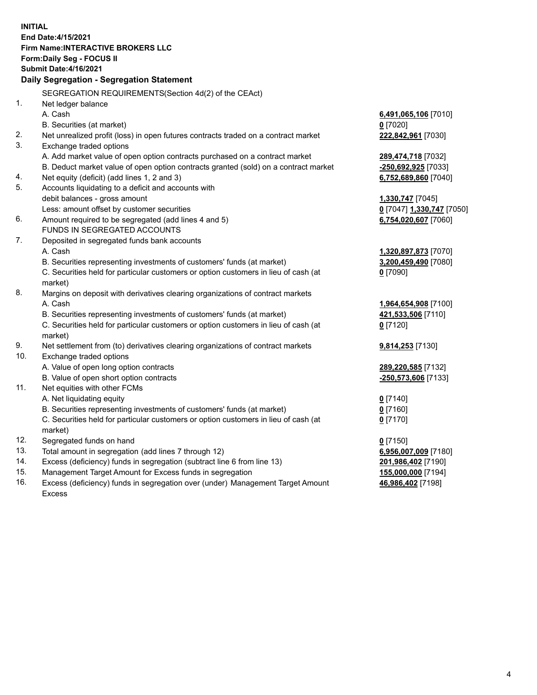**INITIAL End Date:4/15/2021 Firm Name:INTERACTIVE BROKERS LLC Form:Daily Seg - FOCUS II Submit Date:4/16/2021 Daily Segregation - Segregation Statement** SEGREGATION REQUIREMENTS(Section 4d(2) of the CEAct) 1. Net ledger balance A. Cash **6,491,065,106** [7010] B. Securities (at market) **0** [7020] 2. Net unrealized profit (loss) in open futures contracts traded on a contract market **222,842,961** [7030] 3. Exchange traded options A. Add market value of open option contracts purchased on a contract market **289,474,718** [7032] B. Deduct market value of open option contracts granted (sold) on a contract market **-250,692,925** [7033] 4. Net equity (deficit) (add lines 1, 2 and 3) **6,752,689,860** [7040] 5. Accounts liquidating to a deficit and accounts with debit balances - gross amount **1,330,747** [7045] Less: amount offset by customer securities **0** [7047] **1,330,747** [7050] 6. Amount required to be segregated (add lines 4 and 5) **6,754,020,607** [7060] FUNDS IN SEGREGATED ACCOUNTS 7. Deposited in segregated funds bank accounts A. Cash **1,320,897,873** [7070] B. Securities representing investments of customers' funds (at market) **3,200,459,490** [7080] C. Securities held for particular customers or option customers in lieu of cash (at market) **0** [7090] 8. Margins on deposit with derivatives clearing organizations of contract markets A. Cash **1,964,654,908** [7100] B. Securities representing investments of customers' funds (at market) **421,533,506** [7110] C. Securities held for particular customers or option customers in lieu of cash (at market) **0** [7120] 9. Net settlement from (to) derivatives clearing organizations of contract markets **9,814,253** [7130] 10. Exchange traded options A. Value of open long option contracts **289,220,585** [7132] B. Value of open short option contracts **-250,573,606** [7133] 11. Net equities with other FCMs A. Net liquidating equity **0** [7140] B. Securities representing investments of customers' funds (at market) **0** [7160] C. Securities held for particular customers or option customers in lieu of cash (at market) **0** [7170] 12. Segregated funds on hand **0** [7150] 13. Total amount in segregation (add lines 7 through 12) **6,956,007,009** [7180] 14. Excess (deficiency) funds in segregation (subtract line 6 from line 13) **201,986,402** [7190] 15. Management Target Amount for Excess funds in segregation **155,000,000** [7194]

16. Excess (deficiency) funds in segregation over (under) Management Target Amount Excess

**46,986,402** [7198]